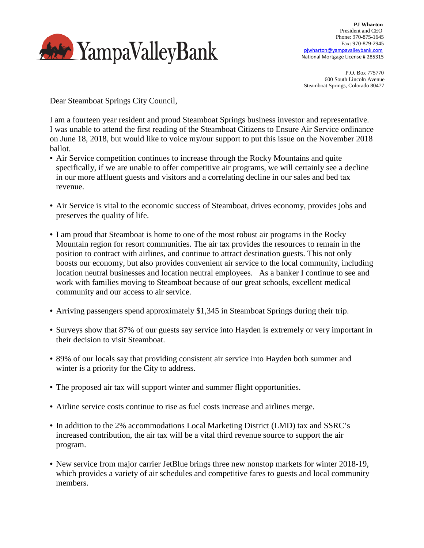

 P.O. Box 775770 600 South Lincoln Avenue Steamboat Springs, Colorado 80477

Dear Steamboat Springs City Council,

I am a fourteen year resident and proud Steamboat Springs business investor and representative. I was unable to attend the first reading of the Steamboat Citizens to Ensure Air Service ordinance on June 18, 2018, but would like to voice my/our support to put this issue on the November 2018 ballot.

- Air Service competition continues to increase through the Rocky Mountains and quite specifically, if we are unable to offer competitive air programs, we will certainly see a decline in our more affluent guests and visitors and a correlating decline in our sales and bed tax revenue.
- Air Service is vital to the economic success of Steamboat, drives economy, provides jobs and preserves the quality of life.
- I am proud that Steamboat is home to one of the most robust air programs in the Rocky Mountain region for resort communities. The air tax provides the resources to remain in the position to contract with airlines, and continue to attract destination guests. This not only boosts our economy, but also provides convenient air service to the local community, including location neutral businesses and location neutral employees. As a banker I continue to see and work with families moving to Steamboat because of our great schools, excellent medical community and our access to air service.
- Arriving passengers spend approximately \$1,345 in Steamboat Springs during their trip.
- Surveys show that 87% of our guests say service into Hayden is extremely or very important in their decision to visit Steamboat.
- 89% of our locals say that providing consistent air service into Hayden both summer and winter is a priority for the City to address.
- The proposed air tax will support winter and summer flight opportunities.
- Airline service costs continue to rise as fuel costs increase and airlines merge.
- In addition to the 2% accommodations Local Marketing District (LMD) tax and SSRC's increased contribution, the air tax will be a vital third revenue source to support the air program.
- New service from major carrier JetBlue brings three new nonstop markets for winter 2018-19, which provides a variety of air schedules and competitive fares to guests and local community members.